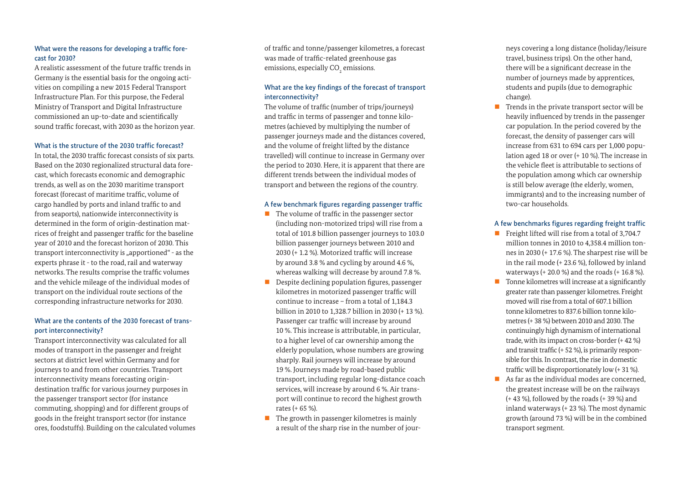# What were the reasons for developing a traffic forecast for 2030?

A realistic assessment of the future traffic trends in Germany is the essential basis for the ongoing activities on compiling a new 2015 Federal Transport Infrastructure Plan. For this purpose, the Federal Ministry of Transport and Digital Infrastructure commissioned an up-to-date and scientifically sound traffic forecast, with 2030 as the horizon year.

#### What is the structure of the 2030 traffic forecast?

In total, the 2030 traffic forecast consists of six parts. Based on the 2030 regionalized structural data forecast, which forecasts economic and demographic trends, as well as on the 2030 maritime transport forecast (forecast of maritime traffic, volume of cargo handled by ports and inland traffic to and from seaports), nationwide interconnectivity is determined in the form of origin-destination matrices of freight and passenger traffic for the baseline year of 2010 and the forecast horizon of 2030. This transport interconnectivity is "apportioned" - as the experts phrase it - to the road, rail and waterway networks. The results comprise the traffic volumes and the vehicle mileage of the individual modes of transport on the individual route sections of the corresponding infrastructure networks for 2030.

# What are the contents of the 2030 forecast of transport interconnectivity?

Transport interconnectivity was calculated for all modes of transport in the passenger and freight sectors at district level within Germany and for journeys to and from other countries. Transport interconnectivity means forecasting origindestination traffic for various journey purposes in the passenger transport sector (for instance commuting, shopping) and for different groups of goods in the freight transport sector (for instance ores, foodstuffs). Building on the calculated volumes of traffic and tonne/passenger kilometres, a forecast was made of traffic-related greenhouse gas emissions, especially CO $_{\textrm{\tiny{2}}}$  emissions.

# What are the key findings of the forecast of transport interconnectivity?

The volume of traffic (number of trips/journeys) and traffic in terms of passenger and tonne kilometres (achieved by multiplying the number of passenger journeys made and the distances covered, and the volume of freight lifted by the distance travelled) will continue to increase in Germany over the period to 2030. Here, it is apparent that there are different trends between the individual modes of transport and between the regions of the country.

### A few benchmark figures regarding passenger traffic

- $\blacksquare$  The volume of traffic in the passenger sector (including non-motorized trips) will rise from a total of 101.8 billion passenger journeys to 103.0 billion passenger journeys between 2010 and 2030 (+ 1.2 %). Motorized traffic will increase by around 3.8 % and cycling by around 4.6 %, whereas walking will decrease by around 7.8 %.
- Despite declining population figures, passenger kilometres in motorized passenger traffic will continue to increase – from a total of 1,184.3 billion in 2010 to 1,328.7 billion in 2030 (+ 13 %). Passenger car traffic will increase by around 10 %. This increase is attributable, in particular, to a higher level of car ownership among the elderly population, whose numbers are growing sharply. Rail journeys will increase by around 19 %. Journeys made by road-based public transport, including regular long-distance coach services, will increase by around 6 %. Air transport will continue to record the highest growth rates (+ 65 %).
- $\blacksquare$  The growth in passenger kilometres is mainly a result of the sharp rise in the number of jour-

neys covering a long distance (holiday/leisure travel, business trips). On the other hand, there will be a significant decrease in the number of journeys made by apprentices, students and pupils (due to demographic change).

 $\blacksquare$  Trends in the private transport sector will be heavily influenced by trends in the passenger car population. In the period covered by the forecast, the density of passenger cars will increase from 631 to 694 cars per 1,000 population aged 18 or over (+ 10 %). The increase in the vehicle fleet is attributable to sections of the population among which car ownership is still below average (the elderly, women, immigrants) and to the increasing number of two-car households.

# A few benchmarks figures regarding freight traffic

- Freight lifted will rise from a total of 3,704.7 million tonnes in 2010 to 4,358.4 million tonnes in 2030 (+ 17.6 %). The sharpest rise will be in the rail mode (+ 23.6 %), followed by inland waterways (+ 20.0 %) and the roads (+ 16.8 %).
- $\blacksquare$  Tonne kilometres will increase at a significantly greater rate than passenger kilometres. Freight moved will rise from a total of 607.1 billion tonne kilometres to 837.6 billion tonne kilometres (+ 38 %) between 2010 and 2030. The continuingly high dynamism of international trade, with its impact on cross-border (+ 42 %) and transit traffic (+ 52 %), is primarily responsible for this. In contrast, the rise in domestic traffic will be disproportionately low (+ 31 %).
- As far as the individual modes are concerned, the greatest increase will be on the railways (+ 43 %), followed by the roads (+ 39 %) and inland waterways (+ 23 %). The most dynamic growth (around 73 %) will be in the combined transport segment.